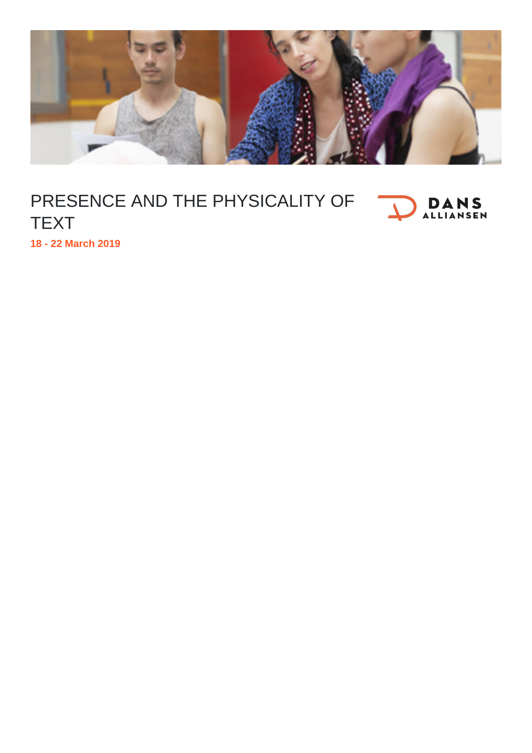

## PRESENCE AND THE PHYSICALITY OF **DANS** TEXT

**18 - 22 March 2019**